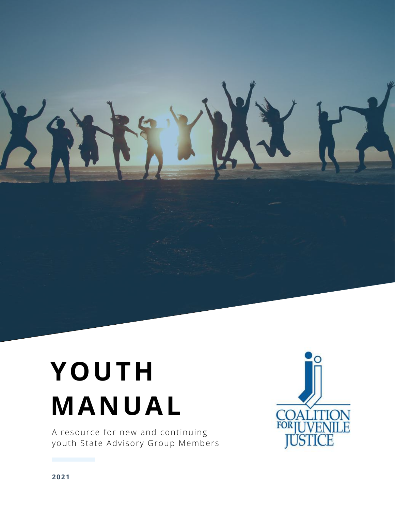# **YOUTH MANUAL**

A resour ce for new and continuing youth State Advisory Group Members

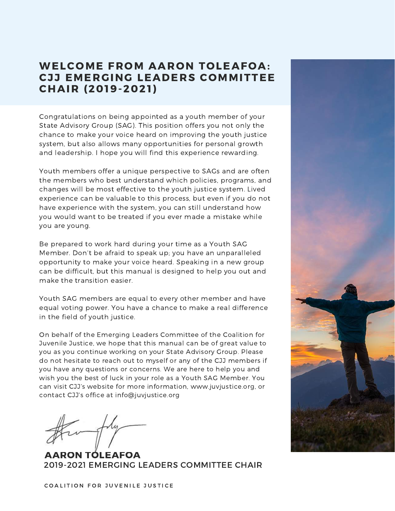### WELCOME FROM AARON TOLEAFOA: CJJ EMERGING LEADERS COMMITTEE **CHAIR (2019-2021)**

Congratulations on being appointed as a youth member of your State Advisory Group (SAG). This position offers you not only the chance to make your voice heard on improving the youth justice system, but also allows many opportunities for personal growth and leadership. I hope you will find this experience rewarding.

Youth members offer a unique perspective to SAGs and are often the members who best understand which policies, programs, and changes will be most effective to the youth justice system. Lived experience can be valuable to this process, but even if you do not have experience with the system, you can still understand how you would want to be treated if you ever made a mistake while you are young.

Be prepared to work hard during your time as a Youth SAG Member. Don't be afraid to speak up; you have an unparalleled opportunity to make your voice heard. Speaking in a new group can be difficult, but this manual is designed to help you out and make the transition easier.

Youth SAG members are equal to every other member and have equal voting power. You have a chance to make a real difference in the field of youth justice.

On behalf of the Emerging Leaders Committee of the Coalition for Juvenile Justice, we hope that this manual can be of great value to you as you continue working on your State Advisory Group. Please do not hesitate to reach out to myself or any of the CJJ members if you have any questions or concerns. We are here to help you and wish you the best of luck in your role as a Youth SAG Member. You can visit CJJ's website for more information, www.juvjustice.org, or contact CJJ's office at info@juvjustice.org

AARON TOLEAFOA 2019-2021 EMERGING LEADERS COMMITTEE CHAIR

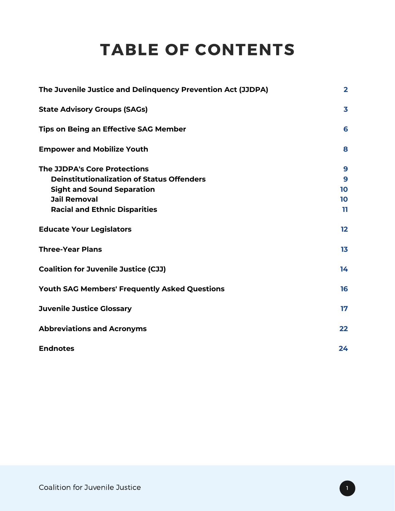# TABLE OF CONTENTS

| The Juvenile Justice and Delinquency Prevention Act (JJDPA)                                                                                                                                  |                          |
|----------------------------------------------------------------------------------------------------------------------------------------------------------------------------------------------|--------------------------|
| <b>State Advisory Groups (SAGs)</b>                                                                                                                                                          | 3                        |
| <b>Tips on Being an Effective SAG Member</b>                                                                                                                                                 | 6                        |
| <b>Empower and Mobilize Youth</b>                                                                                                                                                            | 8                        |
| <b>The JJDPA's Core Protections</b><br><b>Deinstitutionalization of Status Offenders</b><br><b>Sight and Sound Separation</b><br><b>Jail Removal</b><br><b>Racial and Ethnic Disparities</b> | 9<br>9<br>10<br>10<br>11 |
| <b>Educate Your Legislators</b>                                                                                                                                                              | 12                       |
| <b>Three-Year Plans</b>                                                                                                                                                                      | 13                       |
| <b>Coalition for Juvenile Justice (CJJ)</b>                                                                                                                                                  | 14                       |
| <b>Youth SAG Members' Frequently Asked Questions</b>                                                                                                                                         | 16                       |
| <b>Juvenile Justice Glossary</b>                                                                                                                                                             | 17                       |
| <b>Abbreviations and Acronyms</b>                                                                                                                                                            | 22                       |
| <b>Endnotes</b>                                                                                                                                                                              | 24                       |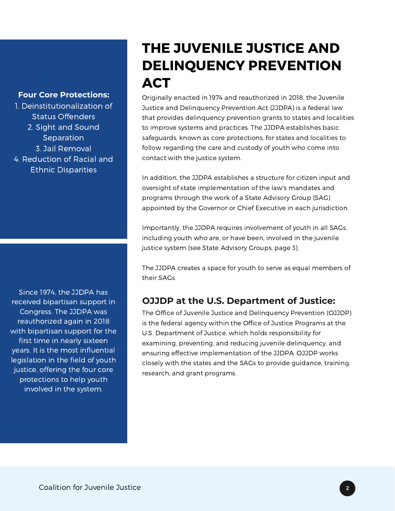#### **Four Core Protections:**

1. Deinstitutionalization of Status Offenders 2. Sight and Sound **Separation** 3. Jail Removal 4. Reduction of Racial and Ethnic Disparities

Since 1974, the JJDPA has received bipartisan support in Congress. The JJDPA was reauthorized again in 2018 with bipartisan support for the first time in nearly sixteen years. It is the most influential legislation in the field of youth justice, offering the four core protections to help youth involved in the system.

# THE JUVENILE JUSTICE AND DELINQUENCY PREVENTION **ACT**

Originally enacted in 1974 and reauthorized in 2018, the Juvenile Justice and Delinquency Prevention Act (JJDPA) is a federal law that provides delinquency prevention grants to states and localities to improve systems and practices. The JJDPA establishes basic safeguards, known as core protections, for states and localities to follow regarding the care and custody of youth who come into contact with the justice system.

In addition, the JJDPA establishes a structure for citizen input and oversight of state implementation of the law's mandates and programs through the work of a State Advisory Group (SAG) appointed by the Governor or Chief Executive in each jurisdiction.

Importantly, the JJDPA requires involvement of youth in all SAGs, including youth who are, or have been, involved in the juvenile justice system (see State Advisory Groups, page 3).

The JJDPA creates a space for youth to serve as equal members of their SAGs.

### **OJJDP at the U.S. Department of Justice:**

The Office of Juvenile Justice and Delinquency Prevention (OJJDP) is the federal agency within the Office of Justice Programs at the U.S. Department of Justice, which holds responsibility for examining, preventing, and reducing juvenile delinquency, and ensuring effective implementation of the JJDPA. OJJDP works closely with the states and the SAGs to provide guidance, training, research, and grant programs.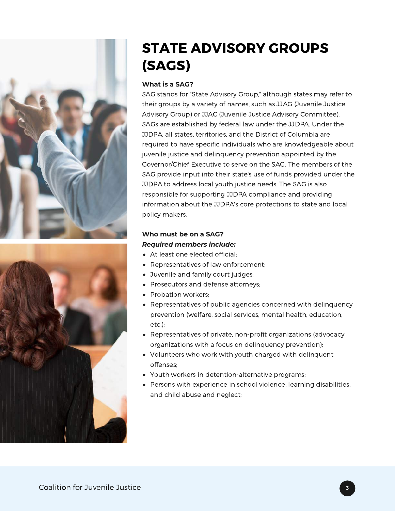



# STATE ADVISORY GROUPS (SAGS)

#### **What is a SAG?**

SAG stands for "State Advisory Group," although states may refer to their groups by a variety of names, such as JJAG (Juvenile Justice Advisory Group) or JJAC (Juvenile Justice Advisory Committee). SAGs are established by federal law under the JJDPA. Under the JJDPA, all states, territories, and the District of Columbia are required to have specific individuals who are knowledgeable about juvenile justice and delinquency prevention appointed by the Governor/Chief Executive to serve on the SAG. The members of the SAG provide input into their state's use of funds provided under the JJDPA to address local youth justice needs. The SAG is also responsible for supporting JJDPA compliance and providing information about the JJDPA's core protections to state and local policy makers.

#### **Who must be on a SAG?** *Required members include:*

- At least one elected official;
- Representatives of law enforcement:
- Juvenile and family court judges;
- Prosecutors and defense attorneys;
- Probation workers:
- Representatives of public agencies concerned with delinquency prevention (welfare, social services, mental health, education, etc.);
- Representatives of private, non-profit organizations (advocacy organizations with a focus on delinquency prevention);
- Volunteers who work with youth charged with delinquent offenses;
- Youth workers in detention-alternative programs;
- Persons with experience in school violence, learning disabilities, and child abuse and neglect;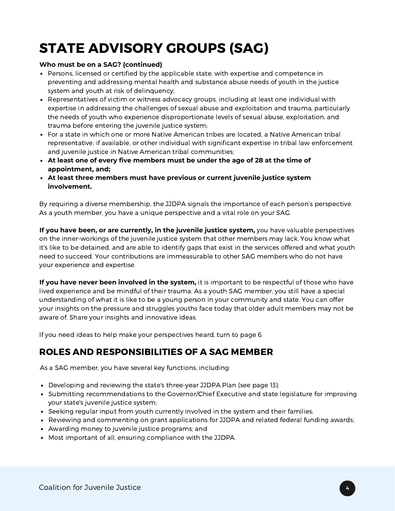# STATE ADVISORY GROUPS (SAG)

#### **Who must be on a SAG? (continued)**

- Persons, licensed or certified by the applicable state, with expertise and competence in preventing and addressing mental health and substance abuse needs of youth in the justice system and youth at risk of delinquency;
- Representatives of victim or witness advocacy groups, including at least one individual with expertise in addressing the challenges of sexual abuse and exploitation and trauma, particularly the needs of youth who experience disproportionate levels of sexual abuse, exploitation, and trauma before entering the juvenile justice system;
- For a state in which one or more Native American tribes are located, a Native American tribal representative, if available, or other individual with significant expertise in tribal law enforcement and juvenile justice in Native American tribal communities;
- **At least one of every five members must be under the age of 28 at the time of appointment, and;**
- **At least three members must have previous or current juvenile justice system involvement.**

By requiring a diverse membership, the JJDPA signals the importance of each person's perspective. As a youth member, you have a unique perspective and a vital role on your SAG.

**If you have been, or are currently, in the juvenile justice system,** you have valuable perspectives on the inner-workings of the juvenile justice system that other members may lack. You know what it's like to be detained, and are able to identify gaps that exist in the services offered and what youth need to succeed. Your contributions are immeasurable to other SAG members who do not have your experience and expertise.

**If you have never been involved in the system,** it is important to be respectful of those who have lived experience and be mindful of their trauma. As a youth SAG member, you still have a special understanding of what it is like to be a young person in your community and state. You can offer your insights on the pressure and struggles youths face today that older adult members may not be aware of. Share your insights and innovative ideas.

If you need ideas to help make your perspectives heard, turn to page 6.

### ROLES AND RESPONSIBILITIES OF A SAG MEMBER

As a SAG member, you have several key functions, including:

- Developing and reviewing the state's three-year JJDPA Plan (see page 13);
- Submitting recommendations to the Governor/Chief Executive and state legislature for improving your state's juvenile justice system;
- Seeking regular input from youth currently involved in the system and their families;
- Reviewing and commenting on grant applications for JJDPA and related federal funding awards;
- Awarding money to juvenile justice programs; and
- Most important of all, ensuring compliance with the JJDPA.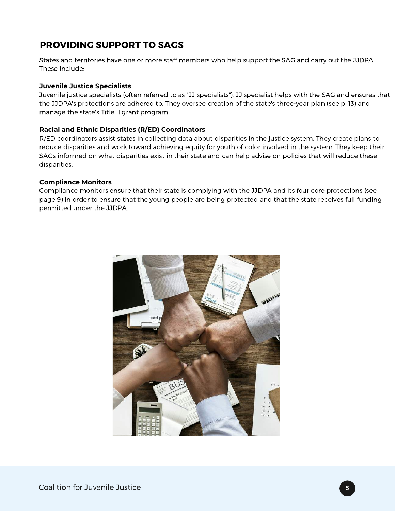### PROVIDING SUPPORT TO SAGS

States and territories have one or more staff members who help support the SAG and carry out the JJDPA. These include:

#### **Juvenile Justice Specialists**

Juvenile justice specialists (often referred to as "JJ specialists"). JJ specialist helps with the SAG and ensures that the JJDPA's protections are adhered to. They oversee creation of the state's three-year plan (see p. 13) and manage the state's Title II grant program.

#### **Racial and Ethnic Disparities (R/ED) Coordinators**

R/ED coordinators assist states in collecting data about disparities in the justice system. They create plans to reduce disparities and work toward achieving equity for youth of color involved in the system. They keep their SAGs informed on what disparities exist in their state and can help advise on policies that will reduce these disparities.

#### **Compliance Monitors**

Compliance monitors ensure that their state is complying with the JJDPA and its four core protections (see page 9) in order to ensure that the young people are being protected and that the state receives full funding permitted under the JJDPA.

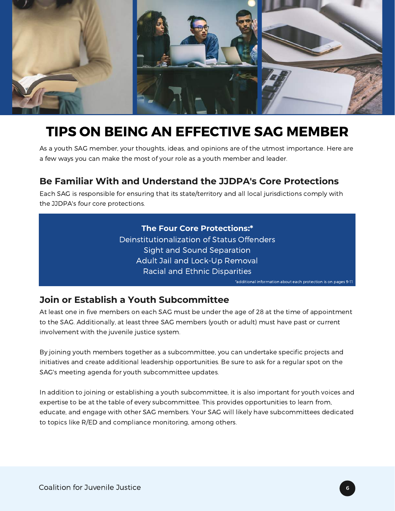

# TIPS ON BEING AN EFFECTIVE SAG MEMBER

As a youth SAG member, your thoughts, ideas, and opinions are of the utmost importance. Here are a few ways you can make the most of your role as a youth member and leader.

### **Be Familiar With and Understand the JJDPA's Core Protections**

Each SAG is responsible for ensuring that its state/territory and all local jurisdictions comply with the JJDPA's four core protections.

#### **The Four Core Protections:\***

Deinstitutionalization of Status Offenders Sight and Sound Separation Adult Jail and Lock-Up Removal Racial and Ethnic Disparities

### **Join or Establish a Youth Subcommittee**

At least one in five members on each SAG must be under the age of 28 at the time of appointment to the SAG. Additionally, at least three SAG members (youth or adult) must have past or current involvement with the juvenile justice system.

By joining youth members together as a subcommittee, you can undertake specific projects and initiatives and create additional leadership opportunities. Be sure to ask for a regular spot on the SAG's meeting agenda for youth subcommittee updates.

In addition to joining or establishing a youth subcommittee, it is also important for youth voices and expertise to be at the table of every subcommittee. This provides opportunities to learn from, educate, and engage with other SAG members. Your SAG will likely have subcommittees dedicated to topics like R/ED and compliance monitoring, among others.

\*additional information about each protection is on pages 9-11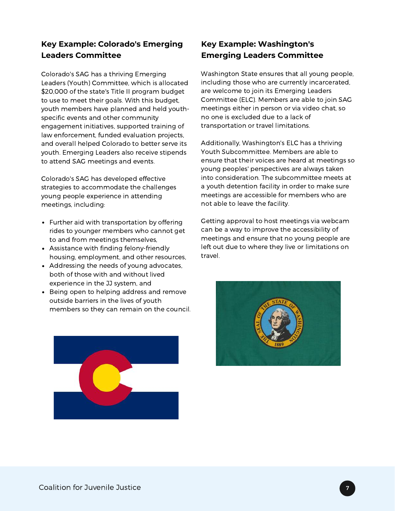### **Key Example: Colorado's Emerging Leaders Committee**

Colorado's SAG has a thriving Emerging Leaders (Youth) Committee, which is allocated \$20,000 of the state's Title II program budget to use to meet their goals. With this budget, youth members have planned and held youthspecific events and other community engagement initiatives, supported training of law enforcement, funded evaluation projects, and overall helped Colorado to better serve its youth. Emerging Leaders also receive stipends to attend SAG meetings and events.

Colorado's SAG has developed effective strategies to accommodate the challenges young people experience in attending meetings, including:

- Further aid with transportation by offering rides to younger members who cannot get to and from meetings themselves,
- Assistance with finding felony-friendly housing, employment, and other resources,
- Addressing the needs of young advocates, both of those with and without lived experience in the JJ system, and
- Being open to helping address and remove outside barriers in the lives of youth members so they can remain on the council.



### **Key Example: Washington's Emerging Leaders Committee**

Washington State ensures that all young people, including those who are currently incarcerated, are welcome to join its Emerging Leaders Committee (ELC). Members are able to join SAG meetings either in person or via video chat, so no one is excluded due to a lack of transportation or travel limitations.

Additionally, Washington's ELC has a thriving Youth Subcommittee. Members are able to ensure that their voices are heard at meetings so young peoples' perspectives are always taken into consideration. The subcommittee meets at a youth detention facility in order to make sure meetings are accessible for members who are not able to leave the facility.

Getting approval to host meetings via webcam can be a way to improve the accessibility of meetings and ensure that no young people are left out due to where they live or limitations on travel.

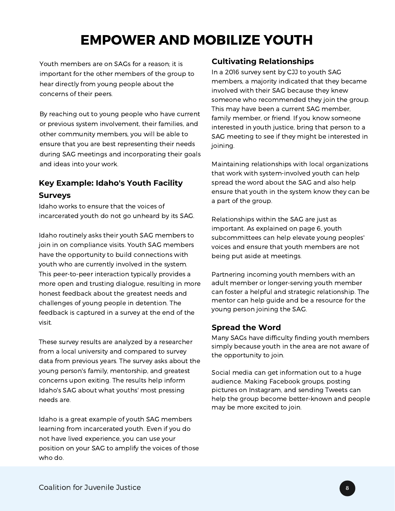# EMPOWER AND MOBILIZE YOUTH

Youth members are on SAGs for a reason; it is important for the other members of the group to hear directly from young people about the concerns of their peers.

By reaching out to young people who have current or previous system involvement, their families, and other community members, you will be able to ensure that you are best representing their needs during SAG meetings and incorporating their goals and ideas into your work.

### **Key Example: Idaho's Youth Facility Surveys**

Idaho works to ensure that the voices of incarcerated youth do not go unheard by its SAG.

Idaho routinely asks their youth SAG members to join in on compliance visits. Youth SAG members have the opportunity to build connections with youth who are currently involved in the system. This peer-to-peer interaction typically provides a more open and trusting dialogue, resulting in more honest feedback about the greatest needs and challenges of young people in detention. The feedback is captured in a survey at the end of the visit.

These survey results are analyzed by a researcher from a local university and compared to survey data from previous years. The survey asks about the young person's family, mentorship, and greatest concerns upon exiting. The results help inform Idaho's SAG about what youths' most pressing needs are.

Idaho is a great example of youth SAG members learning from incarcerated youth. Even if you do not have lived experience, you can use your position on your SAG to amplify the voices of those who do.

### **Cultivating Relationships**

In a 2016 survey sent by CJJ to youth SAG members, a majority indicated that they became involved with their SAG because they knew someone who recommended they join the group. This may have been a current SAG member, family member, or friend. If you know someone interested in youth justice, bring that person to a SAG meeting to see if they might be interested in joining.

Maintaining relationships with local organizations that work with system-involved youth can help spread the word about the SAG and also help ensure that youth in the system know they can be a part of the group.

Relationships within the SAG are just as important. As explained on page 6, youth subcommittees can help elevate young peoples' voices and ensure that youth members are not being put aside at meetings.

Partnering incoming youth members with an adult member or longer-serving youth member can foster a helpful and strategic relationship. The mentor can help guide and be a resource for the young person joining the SAG.

#### **Spread the Word**

Many SAGs have difficulty finding youth members simply because youth in the area are not aware of the opportunity to join.

Social media can get information out to a huge audience. Making Facebook groups, posting pictures on Instagram, and sending Tweets can help the group become better-known and people may be more excited to join.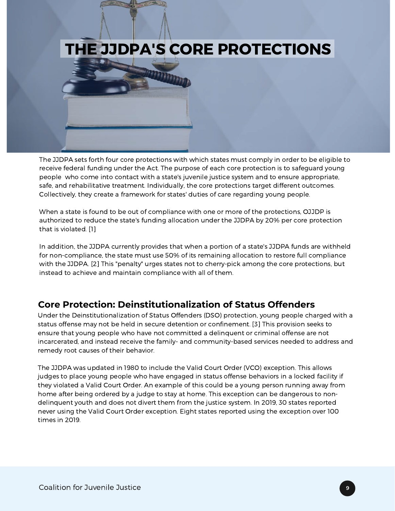# THE JJDPA'S CORE PROTECTIONS

The JJDPA sets forth four core protections with which states must comply in order to be eligible to receive federal funding under the Act. The purpose of each core protection is to safeguard young people who come into contact with a state's juvenile justice system and to ensure appropriate, safe, and rehabilitative treatment. Individually, the core protections target different outcomes. Collectively, they create a framework for states' duties of care regarding young people.

When a state is found to be out of compliance with one or more of the protections, OJJDP is authorized to reduce the state's funding allocation under the JJDPA by 20% per core protection that is violated. [1]

In addition, the JJDPA currently provides that when a portion of a state's JJDPA funds are withheld for non-compliance, the state must use 50% of its remaining allocation to restore full compliance with the JJDPA. [2] This "penalty" urges states not to cherry-pick among the core protections, but instead to achieve and maintain compliance with all of them.

### **Core Protection: Deinstitutionalization of Status Offenders**

Under the Deinstitutionalization of Status Offenders (DSO) protection, young people charged with a status offense may not be held in secure detention or confinement. [3] This provision seeks to ensure that young people who have not committed a delinquent or criminal offense are not incarcerated, and instead receive the family- and community-based services needed to address and remedy root causes of their behavior.

The JJDPA was updated in 1980 to include the Valid Court Order (VCO) exception. This allows judges to place young people who have engaged in status offense behaviors in a locked facility if they violated a Valid Court Order. An example of this could be a young person running away from home after being ordered by a judge to stay at home. This exception can be dangerous to nondelinquent youth and does not divert them from the justice system. In 2019, 30 states reported never using the Valid Court Order exception. Eight states reported using the exception over 100 times in 2019.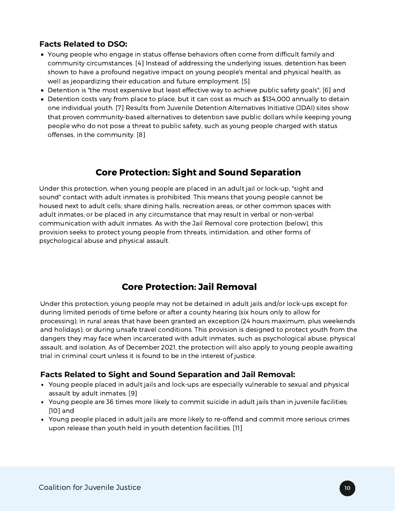### **Facts Related to DSO:**

- Young people who engage in status offense behaviors often come from difficult family and community circumstances. [4] Instead of addressing the underlying issues, detention has been shown to have a profound negative impact on young people's mental and physical health, as well as jeopardizing their education and future employment. [5]
- Detention is "the most expensive but least effective way to achieve public safety goals"; [6] and
- Detention costs vary from place to place, but it can cost as much as \$134,000 annually to detain one individual youth. [7] Results from Juvenile Detention Alternatives Initiative (JDAI) sites show that proven community-based alternatives to detention save public dollars while keeping young people who do not pose a threat to public safety, such as young people charged with status offenses, in the community. [8]

### Core Protection: Sight and Sound Separation

Under this protection, when young people are placed in an adult jail or lock-up, "sight and sound" contact with adult inmates is prohibited. This means that young people cannot be housed next to adult cells; share dining halls, recreation areas, or other common spaces with adult inmates; or be placed in any circumstance that may result in verbal or non-verbal communication with adult inmates. As with the Jail Removal core protection (below), this provision seeks to protect young people from threats, intimidation, and other forms of psychological abuse and physical assault.

### Core Protection: Jail Removal

Under this protection, young people may not be detained in adult jails and/or lock-ups except for: during limited periods of time before or after a county hearing (six hours only to allow for processing); in rural areas that have been granted an exception (24 hours maximum, plus weekends and holidays); or during unsafe travel conditions. This provision is designed to protect youth from the dangers they may face when incarcerated with adult inmates, such as psychological abuse, physical assault, and isolation. As of December 2021, the protection will also apply to young people awaiting trial in criminal court unless it is found to be in the interest of justice.

#### **Facts Related to Sight and Sound Separation and Jail Removal:**

- Young people placed in adult jails and lock-ups are especially vulnerable to sexual and physical assault by adult inmates; [9]
- Young people are 36 times more likely to commit suicide in adult jails than in juvenile facilities; [10] and
- Young people placed in adult jails are more likely to re-offend and commit more serious crimes upon release than youth held in youth detention facilities. [11]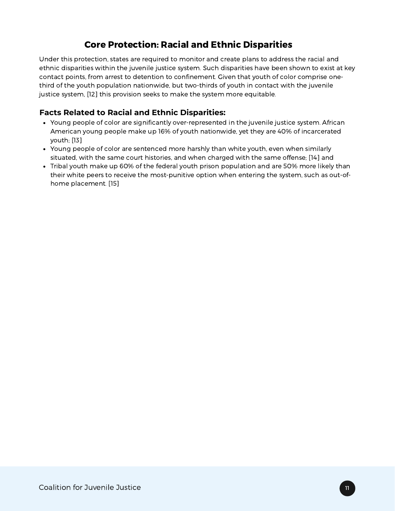### Core Protection: Racial and Ethnic Disparities

Under this protection, states are required to monitor and create plans to address the racial and ethnic disparities within the juvenile justice system. Such disparities have been shown to exist at key contact points, from arrest to detention to confinement. Given that youth of color comprise onethird of the youth population nationwide, but two-thirds of youth in contact with the juvenile justice system, [12] this provision seeks to make the system more equitable.

#### **Facts Related to Racial and Ethnic Disparities:**

- Young people of color are significantly over-represented in the juvenile justice system. African American young people make up 16% of youth nationwide, yet they are 40% of incarcerated youth; [13]
- Young people of color are sentenced more harshly than white youth, even when similarly situated, with the same court histories, and when charged with the same offense; [14] and
- Tribal youth make up 60% of the federal youth prison population and are 50% more likely than their white peers to receive the most-punitive option when entering the system, such as out-ofhome placement. [15]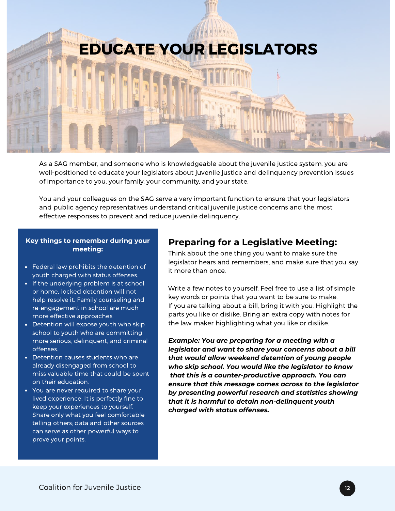

As a SAG member, and someone who is knowledgeable about the juvenile justice system, you are well-positioned to educate your legislators about juvenile justice and delinquency prevention issues of importance to you, your family, your community, and your state.

You and your colleagues on the SAG serve a very important function to ensure that your legislators and public agency representatives understand critical juvenile justice concerns and the most effective responses to prevent and reduce juvenile delinquency.

#### **Key things to remember during your meeting:**

- Federal law prohibits the detention of youth charged with status offenses.
- If the underlying problem is at school or home, locked detention will not help resolve it. Family counseling and re-engagement in school are much more effective approaches.
- Detention will expose youth who skip school to youth who are committing more serious, delinquent, and criminal offenses.
- Detention causes students who are already disengaged from school to miss valuable time that could be spent on their education.
- You are never required to share your lived experience. It is perfectly fine to keep your experiences to yourself. Share only what you feel comfortable telling others; data and other sources can serve as other powerful ways to prove your points.

### **Preparing for a Legislative Meeting:**

Think about the one thing you want to make sure the legislator hears and remembers, and make sure that you say it more than once.

Write a few notes to yourself. Feel free to use a list of simple key words or points that you want to be sure to make. If you are talking about a bill, bring it with you. Highlight the parts you like or dislike. Bring an extra copy with notes for the law maker highlighting what you like or dislike.

*Example: You are preparing for a meeting with a legislator and want to share your concerns about a bill that would allow weekend detention of young people who skip school. You would like the legislator to know that this is a counter-productive approach. You can ensure that this message comes across to the legislator by presenting powerful research and statistics showing that it is harmful to detain non-delinquent youth charged with status offenses.*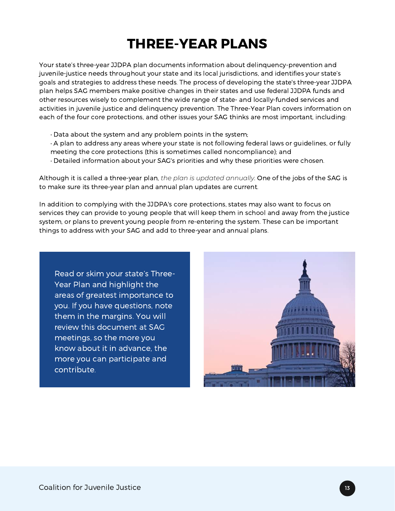# THREE-YEAR PLANS

Your state's three-year JJDPA plan documents information about delinquency-prevention and juvenile-justice needs throughout your state and its local jurisdictions, and identifies your state's goals and strategies to address these needs. The process of developing the state's three-year JJDPA plan helps SAG members make positive changes in their states and use federal JJDPA funds and other resources wisely to complement the wide range of state- and locally-funded services and activities in juvenile justice and delinquency prevention. The Three-Year Plan covers information on each of the four core protections, and other issues your SAG thinks are most important, including:

- Data about the system and any problem points in the system;
- A plan to address any areas where your state is not following federal laws or guidelines, or fully meeting the core protections (this is sometimes called noncompliance); and
- Detailed information about your SAG's priorities and why these priorities were chosen.

Although it is called a three-year plan, *the plan is updated annually*. One of the jobs of the SAG is to make sure its three-year plan and annual plan updates are current.

In addition to complying with the JJDPA's core protections, states may also want to focus on services they can provide to young people that will keep them in school and away from the justice system, or plans to prevent young people from re-entering the system. These can be important things to address with your SAG and add to three-year and annual plans.

Read or skim your state's Three-Year Plan and highlight the areas of greatest importance to you. If you have questions, note them in the margins. You will review this document at SAG meetings, so the more you know about it in advance, the more you can participate and contribute.

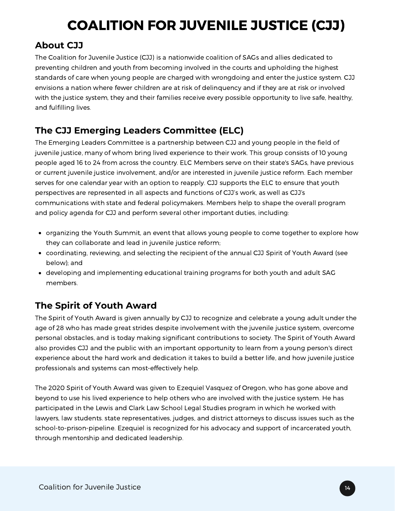# COALITION FOR JUVENILE JUSTICE (CJJ)

### **About CJJ**

The Coalition for Juvenile Justice (CJJ) is a nationwide coalition of SAGs and allies dedicated to preventing children and youth from becoming involved in the courts and upholding the highest standards of care when young people are charged with wrongdoing and enter the justice system. CJJ envisions a nation where fewer children are at risk of delinquency and if they are at risk or involved with the justice system, they and their families receive every possible opportunity to live safe, healthy, and fulfilling lives.

# **The CJJ Emerging Leaders Committee (ELC)**

The Emerging Leaders Committee is a partnership between CJJ and young people in the field of juvenile justice, many of whom bring lived experience to their work. This group consists of 10 young people aged 16 to 24 from across the country. ELC Members serve on their state's SAGs, have previous or current juvenile justice involvement, and/or are interested in juvenile justice reform. Each member serves for one calendar year with an option to reapply. CJJ supports the ELC to ensure that youth perspectives are represented in all aspects and functions of CJJ's work, as well as CJJ's communications with state and federal policymakers. Members help to shape the overall program and policy agenda for CJJ and perform several other important duties, including:

- organizing the Youth Summit, an event that allows young people to come together to explore how they can collaborate and lead in juvenile justice reform;
- coordinating, reviewing, and selecting the recipient of the annual CJJ Spirit of Youth Award (see below); and
- developing and implementing educational training programs for both youth and adult SAG members.

## **The Spirit of Youth Award**

The Spirit of Youth Award is given annually by CJJ to recognize and celebrate a young adult under the age of 28 who has made great strides despite involvement with the juvenile justice system, overcome personal obstacles, and is today making significant contributions to society. The Spirit of Youth Award also provides CJJ and the public with an important opportunity to learn from a young person's direct experience about the hard work and dedication it takes to build a better life, and how juvenile justice professionals and systems can most-effectively help.

The 2020 Spirit of Youth Award was given to Ezequiel Vasquez of Oregon, who has gone above and beyond to use his lived experience to help others who are involved with the justice system. He has participated in the Lewis and Clark Law School Legal Studies program in which he worked with lawyers, law students. state representatives, judges, and district attorneys to discuss issues such as the school-to-prison-pipeline. Ezequiel is recognized for his advocacy and support of incarcerated youth, through mentorship and dedicated leadership.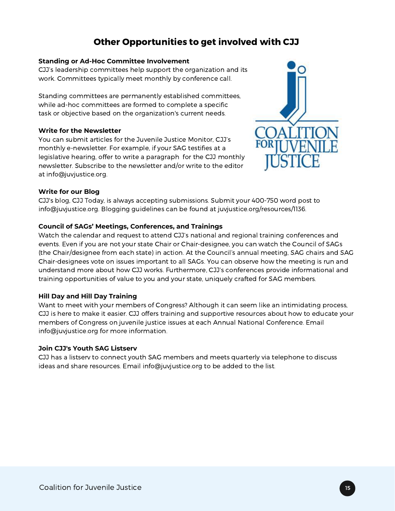### Other Opportunities to get involved with CJJ

#### **Standing or Ad-Hoc Committee Involvement**

CJJ's leadership committees help support the organization and its work. Committees typically meet monthly by conference call.

Standing committees are permanently established committees, while ad-hoc committees are formed to complete a specific task or objective based on the organization's current needs.

#### **Write for the Newsletter**

You can submit articles for the Juvenile Justice Monitor, CJJ's monthly e-newsletter. For example, if your SAG testifies at a legislative hearing, offer to write a paragraph for the CJJ monthly newsletter. Subscribe to the newsletter and/or write to the editor at info@juvjustice.org.



#### **Write for our Blog**

CJJ's blog, CJJ Today, is always accepting submissions. Submit your 400-750 word post to info@juvjustice.org. Blogging guidelines can be found at juvjustice.org/resources/1136.

#### **Council of SAGs' Meetings, Conferences, and Trainings**

Watch the calendar and request to attend CJJ's national and regional training conferences and events. Even if you are not your state Chair or Chair-designee, you can watch the Council of SAGs (the Chair/designee from each state) in action. At the Council's annual meeting, SAG chairs and SAG Chair-designees vote on issues important to all SAGs. You can observe how the meeting is run and understand more about how CJJ works. Furthermore, CJJ's conferences provide informational and training opportunities of value to you and your state, uniquely crafted for SAG members.

#### **Hill Day and Hill Day Training**

Want to meet with your members of Congress? Although it can seem like an intimidating process, CJJ is here to make it easier. CJJ offers training and supportive resources about how to educate your members of Congress on juvenile justice issues at each Annual National Conference. Email info@juvjustice.org for more information.

#### **Join CJJ's Youth SAG Listserv**

CJJ has a listserv to connect youth SAG members and meets quarterly via telephone to discuss ideas and share resources. Email info@juvjustice.org to be added to the list.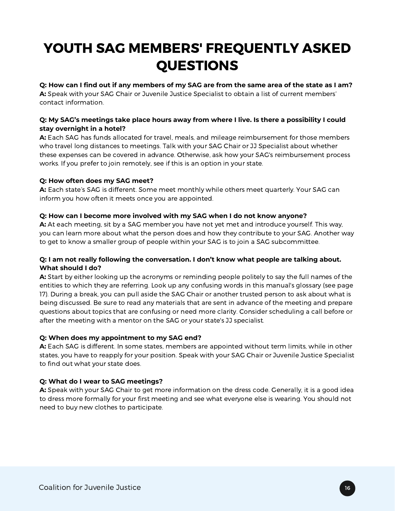# YOUTH SAG MEMBERS' FREQUENTLY ASKED QUESTIONS

#### Q: How can I find out if any members of my SAG are from the same area of the state as I am?

**A:** Speak with your SAG Chair or Juvenile Justice Specialist to obtain a list of current members' contact information.

#### **Q: My SAG's meetings take place hours away from where I live. Is there a possibility I could stay overnight in a hotel?**

**A:** Each SAG has funds allocated for travel, meals, and mileage reimbursement for those members who travel long distances to meetings. Talk with your SAG Chair or JJ Specialist about whether these expenses can be covered in advance. Otherwise, ask how your SAG's reimbursement process works. If you prefer to join remotely, see if this is an option in your state.

#### **Q: How often does my SAG meet?**

**A:** Each state's SAG is different. Some meet monthly while others meet quarterly. Your SAG can inform you how often it meets once you are appointed.

#### **Q: How can I become more involved with my SAG when I do not know anyone?**

**A:** At each meeting, sit by a SAG member you have not yet met and introduce yourself. This way, you can learn more about what the person does and how they contribute to your SAG. Another way to get to know a smaller group of people within your SAG is to join a SAG subcommittee.

#### **Q: I am not really following the conversation. I don't know what people are talking about. What should I do?**

**A:** Start by either looking up the acronyms or reminding people politely to say the full names of the entities to which they are referring. Look up any confusing words in this manual's glossary (see page 17). During a break, you can pull aside the SAG Chair or another trusted person to ask about what is being discussed. Be sure to read any materials that are sent in advance of the meeting and prepare questions about topics that are confusing or need more clarity. Consider scheduling a call before or after the meeting with a mentor on the SAG or your state's JJ specialist.

#### **Q: When does my appointment to my SAG end?**

**A:** Each SAG is different. In some states, members are appointed without term limits, while in other states, you have to reapply for your position. Speak with your SAG Chair or Juvenile Justice Specialist to find out what your state does.

#### **Q: What do I wear to SAG meetings?**

**A:** Speak with your SAG Chair to get more information on the dress code. Generally, it is a good idea to dress more formally for your first meeting and see what everyone else is wearing. You should not need to buy new clothes to participate.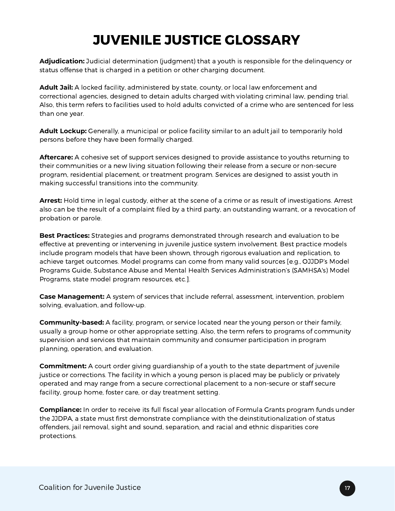**Adjudication:** Judicial determination (judgment) that a youth is responsible for the delinquency or status offense that is charged in a petition or other charging document.

**Adult Jail:** A locked facility, administered by state, county, or local law enforcement and correctional agencies, designed to detain adults charged with violating criminal law, pending trial. Also, this term refers to facilities used to hold adults convicted of a crime who are sentenced for less than one year.

**Adult Lockup:** Generally, a municipal or police facility similar to an adult jail to temporarily hold persons before they have been formally charged.

**Aftercare:** A cohesive set of support services designed to provide assistance to youths returning to their communities or a new living situation following their release from a secure or non-secure program, residential placement, or treatment program. Services are designed to assist youth in making successful transitions into the community.

**Arrest:** Hold time in legal custody, either at the scene of a crime or as result of investigations. Arrest also can be the result of a complaint filed by a third party, an outstanding warrant, or a revocation of probation or parole.

**Best Practices:** Strategies and programs demonstrated through research and evaluation to be effective at preventing or intervening in juvenile justice system involvement. Best practice models include program models that have been shown, through rigorous evaluation and replication, to achieve target outcomes. Model programs can come from many valid sources [e.g., OJJDP's Model Programs Guide, Substance Abuse and Mental Health Services Administration's (SAMHSA's) Model Programs, state model program resources, etc.].

**Case Management:** A system of services that include referral, assessment, intervention, problem solving, evaluation, and follow-up.

**Community-based:** A facility, program, or service located near the young person or their family, usually a group home or other appropriate setting. Also, the term refers to programs of community supervision and services that maintain community and consumer participation in program planning, operation, and evaluation.

**Commitment:** A court order giving guardianship of a youth to the state department of juvenile justice or corrections. The facility in which a young person is placed may be publicly or privately operated and may range from a secure correctional placement to a non-secure or staff secure facility, group home, foster care, or day treatment setting.

**Compliance:** In order to receive its full fiscal year allocation of Formula Grants program funds under the JJDPA, a state must first demonstrate compliance with the deinstitutionalization of status offenders, jail removal, sight and sound, separation, and racial and ethnic disparities core protections.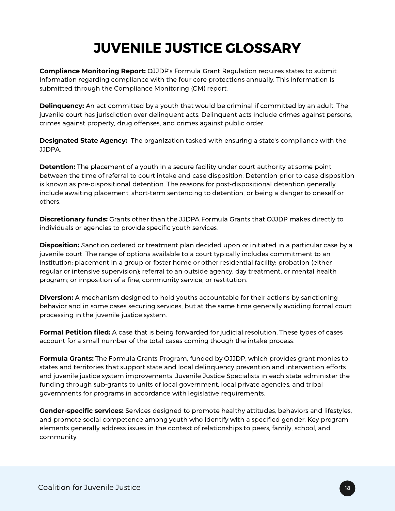**Compliance Monitoring Report:** OJJDP's Formula Grant Regulation requires states to submit information regarding compliance with the four core protections annually. This information is submitted through the Compliance Monitoring (CM) report.

**Delinquency:** An act committed by a youth that would be criminal if committed by an adult. The juvenile court has jurisdiction over delinquent acts. Delinquent acts include crimes against persons, crimes against property, drug offenses, and crimes against public order.

**Designated State Agency:** The organization tasked with ensuring a state's compliance with the JJDPA.

**Detention:** The placement of a youth in a secure facility under court authority at some point between the time of referral to court intake and case disposition. Detention prior to case disposition is known as pre-dispositional detention. The reasons for post-dispositional detention generally include awaiting placement, short-term sentencing to detention, or being a danger to oneself or others.

**Discretionary funds:** Grants other than the JJDPA Formula Grants that OJJDP makes directly to individuals or agencies to provide specific youth services.

**Disposition:** Sanction ordered or treatment plan decided upon or initiated in a particular case by a juvenile court. The range of options available to a court typically includes commitment to an institution; placement in a group or foster home or other residential facility; probation (either regular or intensive supervision); referral to an outside agency, day treatment, or mental health program; or imposition of a fine, community service, or restitution.

**Diversion:** A mechanism designed to hold youths accountable for their actions by sanctioning behavior and in some cases securing services, but at the same time generally avoiding formal court processing in the juvenile justice system.

**Formal Petition filed:** A case that is being forwarded for judicial resolution. These types of cases account for a small number of the total cases coming though the intake process.

**Formula Grants:** The Formula Grants Program, funded by OJJDP, which provides grant monies to states and territories that support state and local delinquency prevention and intervention efforts and juvenile justice system improvements. Juvenile Justice Specialists in each state administer the funding through sub-grants to units of local government, local private agencies, and tribal governments for programs in accordance with legislative requirements.

**Gender-specific services:** Services designed to promote healthy attitudes, behaviors and lifestyles, and promote social competence among youth who identify with a specified gender. Key program elements generally address issues in the context of relationships to peers, family, school, and community.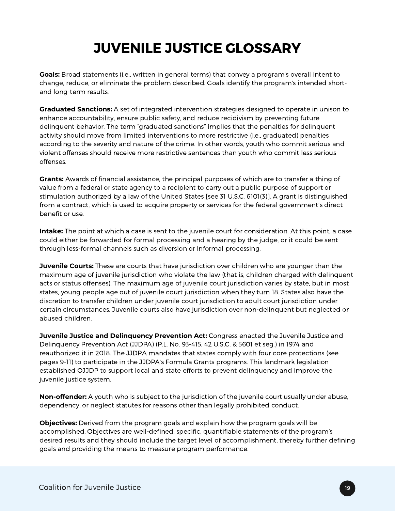**Goals:** Broad statements (i.e., written in general terms) that convey a program's overall intent to change, reduce, or eliminate the problem described. Goals identify the program's intended shortand long-term results.

**Graduated Sanctions:** A set of integrated intervention strategies designed to operate in unison to enhance accountability, ensure public safety, and reduce recidivism by preventing future delinquent behavior. The term "graduated sanctions" implies that the penalties for delinquent activity should move from limited interventions to more restrictive (i.e., graduated) penalties according to the severity and nature of the crime. In other words, youth who commit serious and violent offenses should receive more restrictive sentences than youth who commit less serious offenses.

**Grants:** Awards of financial assistance, the principal purposes of which are to transfer a thing of value from a federal or state agency to a recipient to carry out a public purpose of support or stimulation authorized by a law of the United States [see 31 U.S.C. 6101(3)]. A grant is distinguished from a contract, which is used to acquire property or services for the federal government's direct benefit or use.

**Intake:** The point at which a case is sent to the juvenile court for consideration. At this point, a case could either be forwarded for formal processing and a hearing by the judge, or it could be sent through less-formal channels such as diversion or informal processing.

**Juvenile Courts:** These are courts that have jurisdiction over children who are younger than the maximum age of juvenile jurisdiction who violate the law (that is, children charged with delinquent acts or status offenses). The maximum age of juvenile court jurisdiction varies by state, but in most states, young people age out of juvenile court jurisdiction when they turn 18. States also have the discretion to transfer children under juvenile court jurisdiction to adult court jurisdiction under certain circumstances. Juvenile courts also have jurisdiction over non-delinquent but neglected or abused children.

**Juvenile Justice and Delinquency Prevention Act:** Congress enacted the Juvenile Justice and Delinquency Prevention Act (JJDPA) (P.L. No. 93-415, 42 U.S.C. & 5601 et seg.) in 1974 and reauthorized it in 2018. The JJDPA mandates that states comply with four core protections (see pages 9-11) to participate in the JJDPA's Formula Grants programs. This landmark legislation established OJJDP to support local and state efforts to prevent delinquency and improve the juvenile justice system.

**Non-offender:** A youth who is subject to the jurisdiction of the juvenile court usually under abuse, dependency, or neglect statutes for reasons other than legally prohibited conduct.

**Objectives:** Derived from the program goals and explain how the program goals will be accomplished. Objectives are well-defined, specific, quantifiable statements of the program's desired results and they should include the target level of accomplishment, thereby further defining goals and providing the means to measure program performance.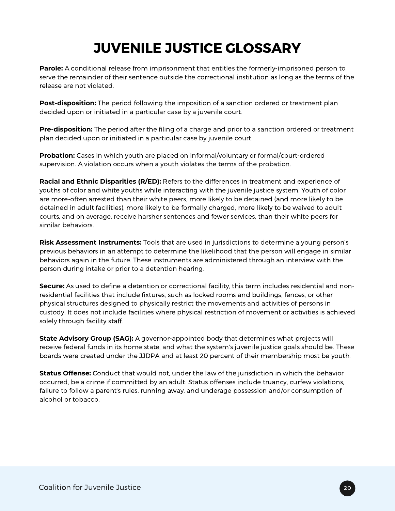**Parole:** A conditional release from imprisonment that entitles the formerly-imprisoned person to serve the remainder of their sentence outside the correctional institution as long as the terms of the release are not violated.

**Post-disposition:** The period following the imposition of a sanction ordered or treatment plan decided upon or initiated in a particular case by a juvenile court.

**Pre-disposition:** The period after the filing of a charge and prior to a sanction ordered or treatment plan decided upon or initiated in a particular case by juvenile court.

**Probation:** Cases in which youth are placed on informal/voluntary or formal/court-ordered supervision. A violation occurs when a youth violates the terms of the probation.

**Racial and Ethnic Disparities (R/ED):** Refers to the differences in treatment and experience of youths of color and white youths while interacting with the juvenile justice system. Youth of color are more-often arrested than their white peers, more likely to be detained (and more likely to be detained in adult facilities), more likely to be formally charged, more likely to be waived to adult courts, and on average, receive harsher sentences and fewer services, than their white peers for similar behaviors.

**Risk Assessment Instruments:** Tools that are used in jurisdictions to determine a young person's previous behaviors in an attempt to determine the likelihood that the person will engage in similar behaviors again in the future. These instruments are administered through an interview with the person during intake or prior to a detention hearing.

**Secure:** As used to define a detention or correctional facility, this term includes residential and nonresidential facilities that include fixtures, such as locked rooms and buildings, fences, or other physical structures designed to physically restrict the movements and activities of persons in custody. It does not include facilities where physical restriction of movement or activities is achieved solely through facility staff.

**State Advisory Group (SAG):** A governor-appointed body that determines what projects will receive federal funds in its home state, and what the system's juvenile justice goals should be. These boards were created under the JJDPA and at least 20 percent of their membership most be youth.

**Status Offense:** Conduct that would not, under the law of the jurisdiction in which the behavior occurred, be a crime if committed by an adult. Status offenses include truancy, curfew violations, failure to follow a parent's rules, running away, and underage possession and/or consumption of alcohol or tobacco.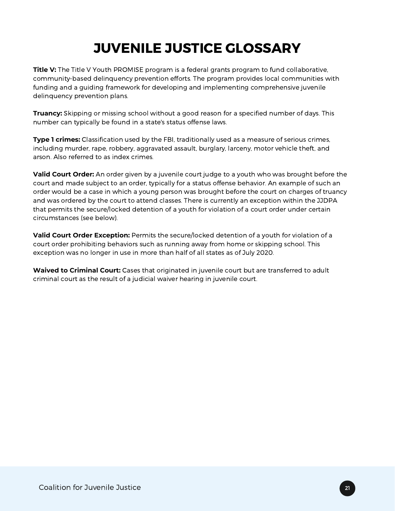**Title V:** The Title V Youth PROMISE program is a federal grants program to fund collaborative, community-based delinquency prevention efforts. The program provides local communities with funding and a guiding framework for developing and implementing comprehensive juvenile delinquency prevention plans.

**Truancy:** Skipping or missing school without a good reason for a specified number of days. This number can typically be found in a state's status offense laws.

**Type 1 crimes:** Classification used by the FBI, traditionally used as a measure of serious crimes, including murder, rape, robbery, aggravated assault, burglary, larceny, motor vehicle theft, and arson. Also referred to as index crimes.

**Valid Court Order:** An order given by a juvenile court judge to a youth who was brought before the court and made subject to an order, typically for a status offense behavior. An example of such an order would be a case in which a young person was brought before the court on charges of truancy and was ordered by the court to attend classes. There is currently an exception within the JJDPA that permits the secure/locked detention of a youth for violation of a court order under certain circumstances (see below).

**Valid Court Order Exception:** Permits the secure/locked detention of a youth for violation of a court order prohibiting behaviors such as running away from home or skipping school. This exception was no longer in use in more than half of all states as of July 2020.

**Waived to Criminal Court:** Cases that originated in juvenile court but are transferred to adult criminal court as the result of a judicial waiver hearing in juvenile court.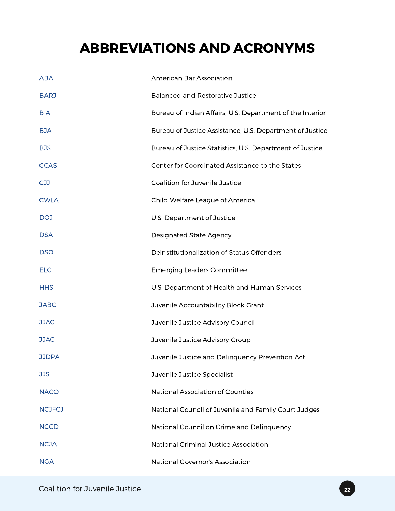# ABBREVIATIONS AND ACRONYMS

| <b>ABA</b>      | American Bar Association                                  |
|-----------------|-----------------------------------------------------------|
| <b>BARJ</b>     | <b>Balanced and Restorative Justice</b>                   |
| <b>BIA</b>      | Bureau of Indian Affairs, U.S. Department of the Interior |
| <b>BJA</b>      | Bureau of Justice Assistance, U.S. Department of Justice  |
| <b>BJS</b>      | Bureau of Justice Statistics, U.S. Department of Justice  |
| <b>CCAS</b>     | Center for Coordinated Assistance to the States           |
| CJJ             | Coalition for Juvenile Justice                            |
| <b>CWLA</b>     | Child Welfare League of America                           |
| DO <sub>J</sub> | U.S. Department of Justice                                |
| <b>DSA</b>      | Designated State Agency                                   |
| <b>DSO</b>      | Deinstitutionalization of Status Offenders                |
| <b>ELC</b>      | <b>Emerging Leaders Committee</b>                         |
| <b>HHS</b>      | U.S. Department of Health and Human Services              |
| <b>JABG</b>     | Juvenile Accountability Block Grant                       |
| <b>JJAC</b>     | Juvenile Justice Advisory Council                         |
| <b>JJAG</b>     | Juvenile Justice Advisory Group                           |
| <b>JJDPA</b>    | Juvenile Justice and Delinquency Prevention Act           |
| <b>JJS</b>      | Juvenile Justice Specialist                               |
| <b>NACO</b>     | National Association of Counties                          |
| <b>NCJFCJ</b>   | National Council of Juvenile and Family Court Judges      |
| <b>NCCD</b>     | National Council on Crime and Delinquency                 |
| <b>NCJA</b>     | <b>National Criminal Justice Association</b>              |
| <b>NGA</b>      | National Governor's Association                           |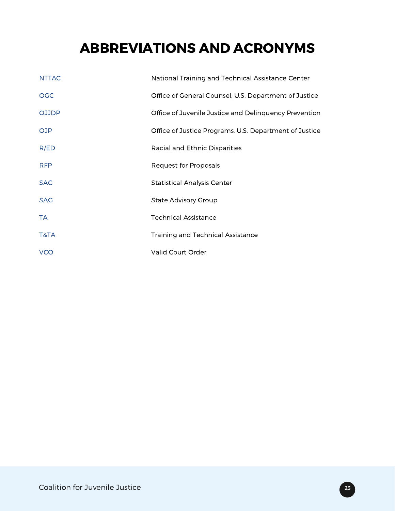# ABBREVIATIONS AND ACRONYMS

| <b>NTTAC</b> | National Training and Technical Assistance Center      |
|--------------|--------------------------------------------------------|
| OGC          | Office of General Counsel, U.S. Department of Justice  |
| <b>OJJDP</b> | Office of Juvenile Justice and Delinquency Prevention  |
| <b>OJP</b>   | Office of Justice Programs, U.S. Department of Justice |
| R/ED         | Racial and Ethnic Disparities                          |
| <b>RFP</b>   | Request for Proposals                                  |
| <b>SAC</b>   | <b>Statistical Analysis Center</b>                     |
| <b>SAG</b>   | <b>State Advisory Group</b>                            |
| TA           | <b>Technical Assistance</b>                            |
| T&TA         | Training and Technical Assistance                      |
| <b>VCO</b>   | Valid Court Order                                      |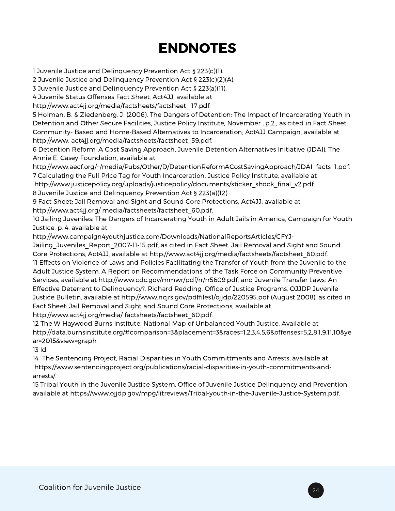# ENDNOTES

1 Juvenile Justice and Delinquency Prevention Act § 223(c)(1).

2 Juvenile Justice and Delinquency Prevention Act § 223(c)(2)(A).

3 Juvenile Justice and Delinquency Prevention Act § 223(a)(11).

4 Juvenile Status Offenses Fact Sheet, Act4JJ, available at

http://www.act4jj.org/media/factsheets/factsheet\_ 17.pdf.

5 Holman, B. & Ziedenberg, J. (2006). The Dangers of Detention: The Impact of Incarcerating Youth in Detention and Other Secure Facilities, Justice Policy Institute, November , p.2., as cited in Fact Sheet: Community- Based and Home-Based Alternatives to Incarceration, Act4JJ Campaign, available at http://www. act4jj.org/media/factsheets/factsheet\_59.pdf.

6 Detention Reform: A Cost Saving Approach, Juvenile Detention Alternatives Initiative (JDAI), The Annie E. Casey Foundation, available at

http://www.aecf.org/~/media/Pubs/Other/D/DetentionReformACostSavingApproach/JDAI\_facts\_1.pdf. 7 Calculating the Full Price Tag for Youth Incarceration, Justice Policy Institute, available at http://www.justicepolicy.org/uploads/justicepolicy/documents/sticker\_shock\_final\_v2.pdf 8 Juvenile Justice and Delinquency Prevention Act § 223(a)(12).

9 Fact Sheet: Jail Removal and Sight and Sound Core Protections, Act4JJ, available at http://www.act4jj.org/ media/factsheets/factsheet 60.pdf.

10 Jailing Juveniles: The Dangers of Incarcerating Youth in Adult Jails in America, Campaign for Youth Justice, p. 4, available at

http://www.campaign4youthjustice.com/Downloads/NationalReportsArticles/CFYJ-

Jailing Juveniles Report 2007-11-15.pdf, as cited in Fact Sheet: Jail Removal and Sight and Sound Core Protections, Act4JJ, available at http://www.act4jj.org/media/factsheets/factsheet 60.pdf. 11 Effects on Violence of Laws and Policies Facilitating the Transfer of Youth from the Juvenile to the Adult Justice System, A Report on Recommendations of the Task Force on Community Preventive Services, available at http://www.cdc.gov/mmwr/pdf/rr/rr5609.pdf, and Juvenile Transfer Laws: An Effective Deterrent to Delinquency?, Richard Redding, Office of Justice Programs, OJJDP Juvenile Justice Bulletin, available at http://www.ncjrs.gov/pdffiles1/ojjdp/220595.pdf (August 2008), as cited in Fact Sheet: Jail Removal and Sight and Sound Core Protections, available at http://www.act4jj.org/media/ factsheets/factsheet\_60.pdf.

12 The W Haywood Burns Institute, National Map of Unbalanced Youth Justice. Available at http://data.burnsinstitute.org/#comparison=3&placement=3&races=1,2,3,4,5,6&offenses=5,2,8,1,9,11,10&ye ar=2015&view=graph.

13 Id.

14 The Sentencing Project, Racial Disparities in Youth Committments and Arrests, available at https://www.sentencingproject.org/publications/racial-disparities-in-youth-commitments-andarrests/.

15 Tribal Youth in the Juvenile Justice System, Office of Juvenile Justice Delinquency and Prevention, available at https://www.ojjdp.gov/mpg/litreviews/Tribal-youth-in-the-Juvenile-Justice-System.pdf.